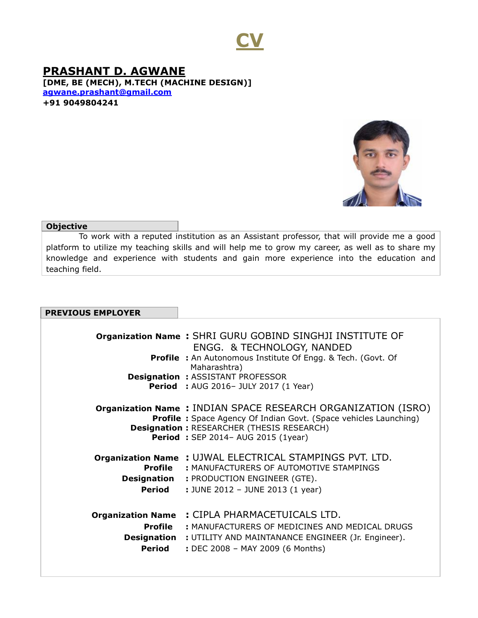

**PRASHANT D. AGWANE [DME, BE (MECH), M.TECH (MACHINE DESIGN)] [agwane.prashant@gmail.com](mailto:agwane.prashant@gmail.com) +91 9049804241**



## **Objective**

 To work with a reputed institution as an Assistant professor, that will provide me a good platform to utilize my teaching skills and will help me to grow my career, as well as to share my knowledge and experience with students and gain more experience into the education and teaching field.

| <b>PREVIOUS EMPLOYER</b> |
|--------------------------|
|--------------------------|

|                                                                     | <b>Organization Name: SHRI GURU GOBIND SINGHJI INSTITUTE OF</b><br>ENGG. & TECHNOLOGY, NANDED<br><b>Profile :</b> An Autonomous Institute Of Engg. & Tech. (Govt. Of<br>Maharashtra)<br><b>Designation : ASSISTANT PROFESSOR</b><br><b>Period</b> : AUG 2016- JULY 2017 (1 Year) |
|---------------------------------------------------------------------|----------------------------------------------------------------------------------------------------------------------------------------------------------------------------------------------------------------------------------------------------------------------------------|
|                                                                     | <b>Organization Name: INDIAN SPACE RESEARCH ORGANIZATION (ISRO)</b><br><b>Profile:</b> Space Agency Of Indian Govt. (Space vehicles Launching)<br><b>Designation: RESEARCHER (THESIS RESEARCH)</b><br><b>Period: SEP 2014-AUG 2015 (1year)</b>                                   |
| Profile<br><b>Designation</b><br>Period                             | Organization Name: UJWAL ELECTRICAL STAMPINGS PVT. LTD.<br>: MANUFACTURERS OF AUTOMOTIVE STAMPINGS<br>: PRODUCTION ENGINEER (GTE).<br>: JUNE 2012 - JUNE 2013 (1 year)                                                                                                           |
| <b>Organization Name</b><br>Profile<br><b>Designation</b><br>Period | : CIPLA PHARMACETUICALS LTD.<br>: MANUFACTURERS OF MEDICINES AND MEDICAL DRUGS<br>: UTILITY AND MAINTANANCE ENGINEER (Jr. Engineer).<br>: DEC 2008 - MAY 2009 (6 Months)                                                                                                         |